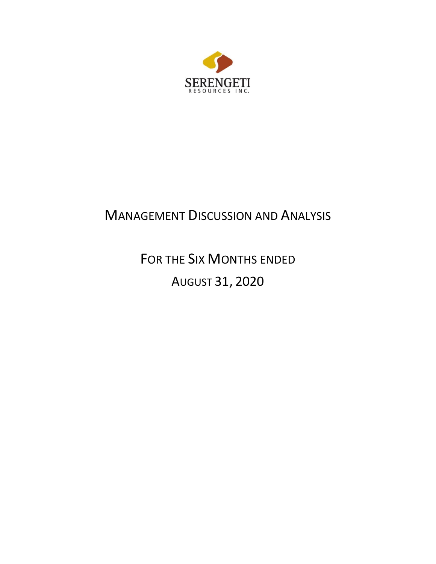

# MANAGEMENT DISCUSSION AND ANALYSIS

FOR THE SIX MONTHS ENDED AUGUST 31, 2020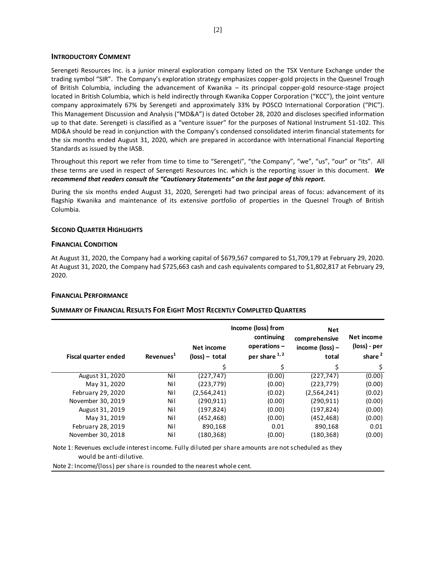## **INTRODUCTORY COMMENT**

Serengeti Resources Inc. is a junior mineral exploration company listed on the TSX Venture Exchange under the trading symbol "SIR". The Company's exploration strategy emphasizes copper-gold projects in the Quesnel Trough of British Columbia, including the advancement of Kwanika – its principal copper-gold resource-stage project located in British Columbia, which is held indirectly through Kwanika Copper Corporation ("KCC"), the joint venture company approximately 67% by Serengeti and approximately 33% by POSCO International Corporation ("PIC"). This Management Discussion and Analysis ("MD&A") is dated October 28, 2020 and discloses specified information up to that date. Serengeti is classified as a "venture issuer" for the purposes of National Instrument 51-102. This MD&A should be read in conjunction with the Company's condensed consolidated interim financial statements for the six months ended August 31, 2020, which are prepared in accordance with International Financial Reporting Standards as issued by the IASB.

Throughout this report we refer from time to time to "Serengeti", "the Company", "we", "us", "our" or "its". All these terms are used in respect of Serengeti Resources Inc. which is the reporting issuer in this document. *We recommend that readers consult the "Cautionary Statements" on the last page of this report.*

During the six months ended August 31, 2020, Serengeti had two principal areas of focus: advancement of its flagship Kwanika and maintenance of its extensive portfolio of properties in the Quesnel Trough of British Columbia.

# **SECOND QUARTER HIGHLIGHTS**

# **FINANCIAL CONDITION**

At August 31, 2020, the Company had a working capital of \$679,567 compared to \$1,709,179 at February 29, 2020. At August 31, 2020, the Company had \$725,663 cash and cash equivalents compared to \$1,802,817 at February 29, 2020.

# **FINANCIAL PERFORMANCE**

# **SUMMARY OF FINANCIAL RESULTS FOR EIGHT MOST RECENTLY COMPLETED QUARTERS**

| Fiscal quarter ended | Revenues <sup>1</sup> | Net income<br>$(\text{loss})$ – total | Income (loss) from<br>continuing<br>operations-<br>per share $1, 2$ | <b>Net</b><br>comprehensive<br>income (loss) -<br>total | Net income<br>(loss) - per<br>share <sup>2</sup> |
|----------------------|-----------------------|---------------------------------------|---------------------------------------------------------------------|---------------------------------------------------------|--------------------------------------------------|
|                      |                       | \$                                    | Ś                                                                   | \$                                                      | \$                                               |
| August 31, 2020      | Nil                   | (227, 747)                            | (0.00)                                                              | (227, 747)                                              | (0.00)                                           |
| May 31, 2020         | Nil                   | (223, 779)                            | (0.00)                                                              | (223, 779)                                              | (0.00)                                           |
| February 29, 2020    | Nil                   | (2,564,241)                           | (0.02)                                                              | (2,564,241)                                             | (0.02)                                           |
| November 30, 2019    | Nil                   | (290, 911)                            | (0.00)                                                              | (290, 911)                                              | (0.00)                                           |
| August 31, 2019      | Nil                   | (197,824)                             | (0.00)                                                              | (197, 824)                                              | (0.00)                                           |
| May 31, 2019         | Nil                   | (452,468)                             | (0.00)                                                              | (452, 468)                                              | (0.00)                                           |
| February 28, 2019    | Nil                   | 890,168                               | 0.01                                                                | 890,168                                                 | 0.01                                             |
| November 30, 2018    | Nil                   | (180,368)                             | (0.00)                                                              | (180, 368)                                              | (0.00)                                           |

Note 1: Revenues exclude interest income. Fully diluted per share amounts are not scheduled as they would be anti-dilutive.

Note 2: Income/(loss) per share is rounded to the nearest whole cent.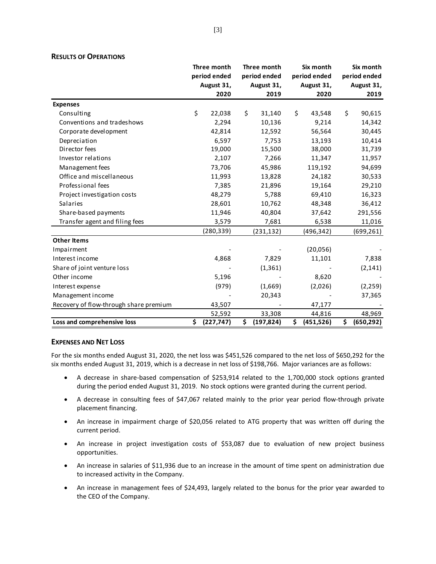|                                        | Three month      | Three month      | Six month        | Six month        |
|----------------------------------------|------------------|------------------|------------------|------------------|
|                                        | period ended     | period ended     | period ended     | period ended     |
|                                        | August 31,       | August 31,       | August 31,       | August 31,       |
|                                        | 2020             | 2019             | 2020             | 2019             |
| <b>Expenses</b>                        |                  |                  |                  |                  |
| Consulting                             | \$<br>22,038     | \$<br>31,140     | \$<br>43,548     | \$<br>90,615     |
| Conventions and tradeshows             | 2,294            | 10,136           | 9,214            | 14,342           |
| Corporate development                  | 42,814           | 12,592           | 56,564           | 30,445           |
| Depreciation                           | 6,597            | 7,753            | 13,193           | 10,414           |
| Director fees                          | 19,000           | 15,500           | 38,000           | 31,739           |
| Investor relations                     | 2,107            | 7,266            | 11,347           | 11,957           |
| Management fees                        | 73,706           | 45,986           | 119,192          | 94,699           |
| Office and miscellaneous               | 11,993           | 13,828           | 24,182           | 30,533           |
| Professional fees                      | 7,385            | 21,896           | 19,164           | 29,210           |
| Project investigation costs            | 48,279           | 5,788            | 69,410           | 16,323           |
| Salaries                               | 28,601           | 10,762           | 48,348           | 36,412           |
| Share-based payments                   | 11,946           | 40,804           | 37,642           | 291,556          |
| Transfer agent and filing fees         | 3,579            | 7,681            | 6,538            | 11,016           |
|                                        | (280, 339)       | (231, 132)       | (496, 342)       | (699, 261)       |
| <b>Other Items</b>                     |                  |                  |                  |                  |
| Impairment                             |                  |                  | (20,056)         |                  |
| Interest income                        | 4,868            | 7,829            | 11,101           | 7,838            |
| Share of joint venture loss            |                  | (1, 361)         |                  | (2, 141)         |
| Other income                           | 5,196            |                  | 8,620            |                  |
| Interest expense                       | (979)            | (1,669)          | (2,026)          | (2, 259)         |
| Management income                      |                  | 20,343           |                  | 37,365           |
| Recovery of flow-through share premium | 43,507           |                  | 47,177           |                  |
|                                        | 52,592           | 33,308           | 44,816           | 48,969           |
| Loss and comprehensive loss            | \$<br>(227, 747) | \$<br>(197, 824) | \$<br>(451, 526) | \$<br>(650, 292) |

# **RESULTS OF OPERATIONS**

# **EXPENSES AND NET LOSS**

For the six months ended August 31, 2020, the net loss was \$451,526 compared to the net loss of \$650,292 for the six months ended August 31, 2019, which is a decrease in net loss of \$198,766. Major variances are as follows:

- A decrease in share-based compensation of \$253,914 related to the 1,700,000 stock options granted during the period ended August 31, 2019. No stock options were granted during the current period.
- A decrease in consulting fees of \$47,067 related mainly to the prior year period flow-through private placement financing.
- An increase in impairment charge of \$20,056 related to ATG property that was written off during the current period.
- An increase in project investigation costs of \$53,087 due to evaluation of new project business opportunities.
- An increase in salaries of \$11,936 due to an increase in the amount of time spent on administration due to increased activity in the Company.
- An increase in management fees of \$24,493, largely related to the bonus for the prior year awarded to the CEO of the Company.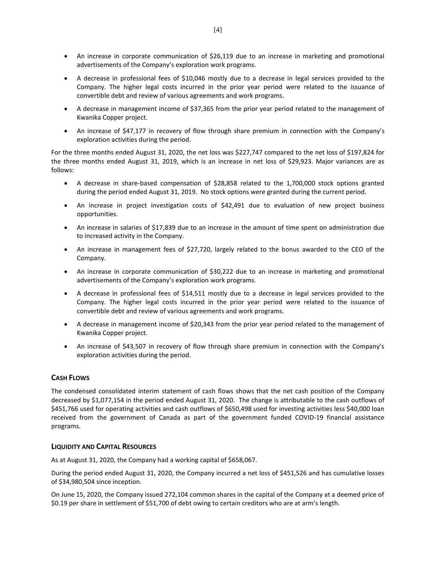- An increase in corporate communication of \$26,119 due to an increase in marketing and promotional advertisements of the Company's exploration work programs.
- A decrease in professional fees of \$10,046 mostly due to a decrease in legal services provided to the Company. The higher legal costs incurred in the prior year period were related to the issuance of convertible debt and review of various agreements and work programs.
- A decrease in management income of \$37,365 from the prior year period related to the management of Kwanika Copper project.
- An increase of \$47,177 in recovery of flow through share premium in connection with the Company's exploration activities during the period.

For the three months ended August 31, 2020, the net loss was \$227,747 compared to the net loss of \$197,824 for the three months ended August 31, 2019, which is an increase in net loss of \$29,923. Major variances are as follows:

- A decrease in share-based compensation of \$28,858 related to the 1,700,000 stock options granted during the period ended August 31, 2019. No stock options were granted during the current period.
- An increase in project investigation costs of \$42,491 due to evaluation of new project business opportunities.
- An increase in salaries of \$17,839 due to an increase in the amount of time spent on administration due to increased activity in the Company.
- An increase in management fees of \$27,720, largely related to the bonus awarded to the CEO of the Company.
- An increase in corporate communication of \$30,222 due to an increase in marketing and promotional advertisements of the Company's exploration work programs.
- A decrease in professional fees of \$14,511 mostly due to a decrease in legal services provided to the Company. The higher legal costs incurred in the prior year period were related to the issuance of convertible debt and review of various agreements and work programs.
- A decrease in management income of \$20,343 from the prior year period related to the management of Kwanika Copper project.
- An increase of \$43,507 in recovery of flow through share premium in connection with the Company's exploration activities during the period.

# **CASH FLOWS**

The condensed consolidated interim statement of cash flows shows that the net cash position of the Company decreased by \$1,077,154 in the period ended August 31, 2020. The change is attributable to the cash outflows of \$451,766 used for operating activities and cash outflows of \$650,498 used for investing activities less \$40,000 loan received from the government of Canada as part of the government funded COVID-19 financial assistance programs.

# **LIQUIDITY AND CAPITAL RESOURCES**

As at August 31, 2020, the Company had a working capital of \$658,067.

During the period ended August 31, 2020, the Company incurred a net loss of \$451,526 and has cumulative losses of \$34,980,504 since inception.

On June 15, 2020, the Company issued 272,104 common shares in the capital of the Company at a deemed price of \$0.19 per share in settlement of \$51,700 of debt owing to certain creditors who are at arm's length.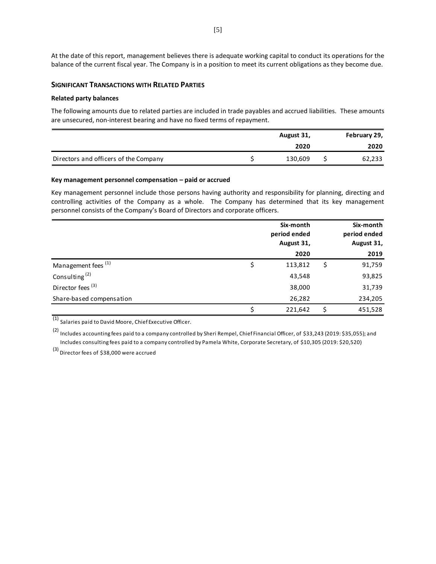At the date of this report, management believes there is adequate working capital to conduct its operations for the balance of the current fiscal year. The Company is in a position to meet its current obligations as they become due.

## **SIGNIFICANT TRANSACTIONS WITH RELATED PARTIES**

## **Related party balances**

The following amounts due to related parties are included in trade payables and accrued liabilities. These amounts are unsecured, non-interest bearing and have no fixed terms of repayment. `

|                                       | August 31, | February 29, |
|---------------------------------------|------------|--------------|
|                                       | 2020       | 2020         |
| Directors and officers of the Company | 130,609    | 62,233       |

#### **Key management personnel compensation – paid or accrued**

Key management personnel include those persons having authority and responsibility for planning, directing and controlling activities of the Company as a whole. The Company has determined that its key management personnel consists of the Company's Board of Directors and corporate officers.

|                                | Six-month<br>period ended<br>August 31, | Six-month<br>period ended<br>August 31, |
|--------------------------------|-----------------------------------------|-----------------------------------------|
|                                | 2020                                    | 2019                                    |
| Management fees <sup>(1)</sup> | 113,812                                 | \$<br>91,759                            |
| Consulting <sup>(2)</sup>      | 43,548                                  | 93,825                                  |
| Director fees <sup>(3)</sup>   | 38,000                                  | 31,739                                  |
| Share-based compensation       | 26,282                                  | 234,205                                 |
|                                | 221,642                                 | 451,528                                 |

(1) Salaries paid to David Moore, Chief Executive Officer.

(2) Includes accounting fees paid to a company controlled by Sheri Rempel, Chief Financial Officer, of \$33,243 (2019: \$35,055); and Includes consulting fees paid to a company controlled by Pamela White, Corporate Secretary, of \$10,305 (2019: \$20,520)

(3) Director fees of \$38,000 were accrued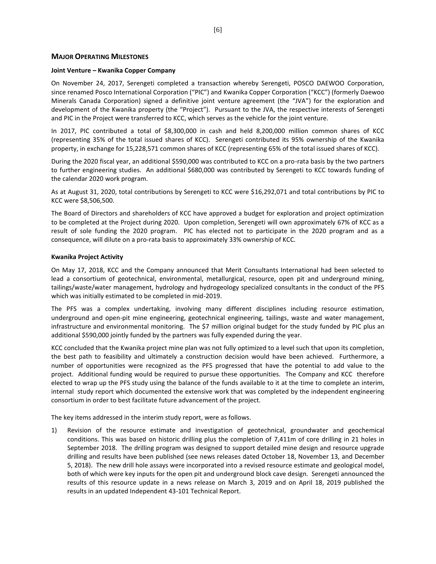## **MAJOR OPERATING MILESTONES**

#### **Joint Venture – Kwanika Copper Company**

On November 24, 2017, Serengeti completed a transaction whereby Serengeti, POSCO DAEWOO Corporation, since renamed Posco International Corporation ("PIC") and Kwanika Copper Corporation ("KCC") (formerly Daewoo Minerals Canada Corporation) signed a definitive joint venture agreement (the "JVA") for the exploration and development of the Kwanika property (the "Project"). Pursuant to the JVA, the respective interests of Serengeti and PIC in the Project were transferred to KCC, which serves as the vehicle for the joint venture.

In 2017, PIC contributed a total of \$8,300,000 in cash and held 8,200,000 million common shares of KCC (representing 35% of the total issued shares of KCC). Serengeti contributed its 95% ownership of the Kwanika property, in exchange for 15,228,571 common shares of KCC (representing 65% of the total issued shares of KCC).

During the 2020 fiscal year, an additional \$590,000 was contributed to KCC on a pro-rata basis by the two partners to further engineering studies. An additional \$680,000 was contributed by Serengeti to KCC towards funding of the calendar 2020 work program.

As at August 31, 2020, total contributions by Serengeti to KCC were \$16,292,071 and total contributions by PIC to KCC were \$8,506,500.

The Board of Directors and shareholders of KCC have approved a budget for exploration and project optimization to be completed at the Project during 2020. Upon completion, Serengeti will own approximately 67% of KCC as a result of sole funding the 2020 program. PIC has elected not to participate in the 2020 program and as a consequence, will dilute on a pro-rata basis to approximately 33% ownership of KCC.

#### **Kwanika Project Activity**

On May 17, 2018, KCC and the Company announced that Merit Consultants International had been selected to lead a consortium of geotechnical, environmental, metallurgical, resource, open pit and underground mining, tailings/waste/water management, hydrology and hydrogeology specialized consultants in the conduct of the PFS which was initially estimated to be completed in mid-2019.

The PFS was a complex undertaking, involving many different disciplines including resource estimation, underground and open-pit mine engineering, geotechnical engineering, tailings, waste and water management, infrastructure and environmental monitoring. The \$7 million original budget for the study funded by PIC plus an additional \$590,000 jointly funded by the partners was fully expended during the year.

KCC concluded that the Kwanika project mine plan was not fully optimized to a level such that upon its completion, the best path to feasibility and ultimately a construction decision would have been achieved. Furthermore, a number of opportunities were recognized as the PFS progressed that have the potential to add value to the project. Additional funding would be required to pursue these opportunities. The Company and KCC therefore elected to wrap up the PFS study using the balance of the funds available to it at the time to complete an interim, internal study report which documented the extensive work that was completed by the independent engineering consortium in order to best facilitate future advancement of the project.

The key items addressed in the interim study report, were as follows.

1) Revision of the resource estimate and investigation of geotechnical, groundwater and geochemical conditions. This was based on historic drilling plus the completion of 7,411m of core drilling in 21 holes in September 2018. The drilling program was designed to support detailed mine design and resource upgrade drilling and results have been published (see news releases dated October 18, November 13, and December 5, 2018). The new drill hole assays were incorporated into a revised resource estimate and geological model, both of which were key inputs for the open pit and underground block cave design. Serengeti announced the results of this resource update in a news release on March 3, 2019 and on April 18, 2019 published the results in an updated Independent 43-101 Technical Report.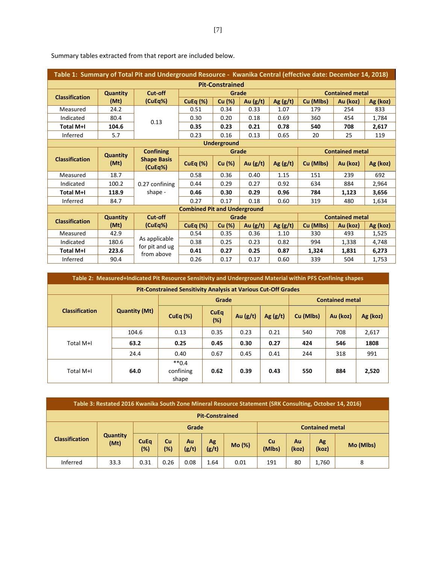| Table 1: Summary of Total Pit and Underground Resource - Kwanika Central (effective date: December 14, 2018) |                 |                                 |                                     |                        |            |            |           |                        |          |
|--------------------------------------------------------------------------------------------------------------|-----------------|---------------------------------|-------------------------------------|------------------------|------------|------------|-----------|------------------------|----------|
|                                                                                                              |                 |                                 |                                     | <b>Pit-Constrained</b> |            |            |           |                        |          |
| <b>Classification</b>                                                                                        | <b>Quantity</b> | Cut-off                         |                                     | Grade                  |            |            |           | <b>Contained metal</b> |          |
|                                                                                                              | (Mt)            | (CuEq%)                         | CuEq $(\%)$                         | Cu (%)                 | Au $(g/t)$ | Ag $(g/t)$ | Cu (Mlbs) | Au (koz)               | Ag (koz) |
| Measured                                                                                                     | 24.2            |                                 | 0.51                                | 0.34                   | 0.33       | 1.07       | 179       | 254                    | 833      |
| Indicated                                                                                                    | 80.4            | 0.13                            | 0.30                                | 0.20                   | 0.18       | 0.69       | 360       | 454                    | 1,784    |
| Total M+I                                                                                                    | 104.6           |                                 | 0.35                                | 0.23                   | 0.21       | 0.78       | 540       | 708                    | 2,617    |
| Inferred                                                                                                     | 5.7             |                                 | 0.23                                | 0.16                   | 0.13       | 0.65       | 20        | 25                     | 119      |
|                                                                                                              |                 |                                 |                                     | <b>Underground</b>     |            |            |           |                        |          |
|                                                                                                              | <b>Quantity</b> | <b>Confining</b>                |                                     | Grade                  |            |            |           | <b>Contained metal</b> |          |
| <b>Classification</b>                                                                                        | (Mt)            | <b>Shape Basis</b><br>(CuEq%)   | CuEq $(\%)$                         | Cu (%)                 | Au $(g/t)$ | Ag $(g/t)$ | Cu (Mlbs) | Au (koz)               | Ag (koz) |
| Measured                                                                                                     | 18.7            |                                 | 0.58                                | 0.36                   | 0.40       | 1.15       | 151       | 239                    | 692      |
| Indicated                                                                                                    | 100.2           | 0.27 confining                  | 0.44                                | 0.29                   | 0.27       | 0.92       | 634       | 884                    | 2,964    |
| Total M+I                                                                                                    | 118.9           | shape -                         | 0.46                                | 0.30                   | 0.29       | 0.96       | 784       | 1,123                  | 3,656    |
| Inferred                                                                                                     | 84.7            |                                 | 0.27                                | 0.17                   | 0.18       | 0.60       | 319       | 480                    | 1,634    |
|                                                                                                              |                 |                                 | <b>Combined Pit and Underground</b> |                        |            |            |           |                        |          |
| <b>Classification</b>                                                                                        | <b>Quantity</b> | Cut-off                         |                                     | Grade                  |            |            |           | <b>Contained metal</b> |          |
|                                                                                                              | (Mt)            | (CuEq%)                         | CuEq $(\%)$                         | Cu (%)                 | Au $(g/t)$ | Ag $(g/t)$ | Cu (Mlbs) | Au (koz)               | Ag (koz) |
| Measured                                                                                                     | 42.9            |                                 | 0.54                                | 0.35                   | 0.36       | 1.10       | 330       | 493                    | 1,525    |
| Indicated                                                                                                    | 180.6           | As applicable<br>for pit and ug | 0.38                                | 0.25                   | 0.23       | 0.82       | 994       | 1,338                  | 4,748    |
| Total M+I                                                                                                    | 223.6           | from above                      | 0.41                                | 0.27                   | 0.25       | 0.87       | 1,324     | 1,831                  | 6,273    |
| Inferred                                                                                                     | 90.4            |                                 | 0.26                                | 0.17                   | 0.17       | 0.60       | 339       | 504                    | 1,753    |

Summary tables extracted from that report are included below.

|                                                                       | Table 2: Measured+Indicated Pit Resource Sensitivity and Underground Material within PFS Confining shapes |                               |                    |            |            |           |                        |          |  |
|-----------------------------------------------------------------------|-----------------------------------------------------------------------------------------------------------|-------------------------------|--------------------|------------|------------|-----------|------------------------|----------|--|
| <b>Pit-Constrained Sensitivity Analysis at Various Cut-Off Grades</b> |                                                                                                           |                               |                    |            |            |           |                        |          |  |
|                                                                       |                                                                                                           | Grade                         |                    |            |            |           | <b>Contained metal</b> |          |  |
| <b>Classification</b>                                                 | <b>Quantity (Mt)</b>                                                                                      | <b>CuEq (%)</b>               | <b>CuEq</b><br>(%) | Au $(g/t)$ | Ag $(g/t)$ | Cu (Mlbs) | Au (koz)               | Ag (koz) |  |
|                                                                       | 104.6                                                                                                     | 0.13                          | 0.35               | 0.23       | 0.21       | 540       | 708                    | 2,617    |  |
| Total M+I                                                             | 63.2                                                                                                      | 0.25                          | 0.45               | 0.30       | 0.27       | 424       | 546                    | 1808     |  |
|                                                                       | 24.4                                                                                                      | 0.40                          | 0.67               | 0.45       | 0.41       | 244       | 318                    | 991      |  |
| Total M+I                                                             | 64.0                                                                                                      | $**0.4$<br>confining<br>shape | 0.62               | 0.39       | 0.43       | 550       | 884                    | 2,520    |  |

| Table 3: Restated 2016 Kwanika South Zone Mineral Resource Statement (SRK Consulting, October 14, 2016) |                         |                       |              |             |             |                        |                                            |    |       |           |
|---------------------------------------------------------------------------------------------------------|-------------------------|-----------------------|--------------|-------------|-------------|------------------------|--------------------------------------------|----|-------|-----------|
| <b>Pit-Constrained</b>                                                                                  |                         |                       |              |             |             |                        |                                            |    |       |           |
|                                                                                                         |                         | Grade                 |              |             |             | <b>Contained metal</b> |                                            |    |       |           |
| <b>Classification</b>                                                                                   | <b>Quantity</b><br>(Mt) | <b>CuEq</b><br>$(\%)$ | Cu<br>$(\%)$ | Au<br>(g/t) | Ag<br>(g/t) | Mo (%)                 | Cu<br>Ag<br>Au<br>(Mlbs)<br>(koz)<br>(koz) |    |       | Mo (Mlbs) |
| Inferred                                                                                                | 33.3                    | 0.31                  | 0.26         | 0.08        | 1.64        | 0.01                   | 191                                        | 80 | 1.760 | 8         |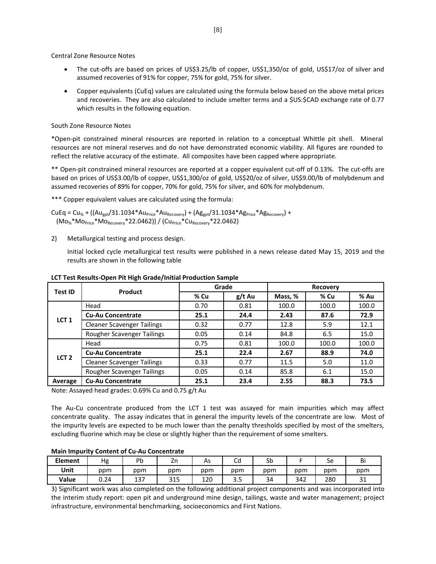Central Zone Resource Notes

- The cut-offs are based on prices of US\$3.25/lb of copper, US\$1,350/oz of gold, US\$17/oz of silver and assumed recoveries of 91% for copper, 75% for gold, 75% for silver.
- Copper equivalents (CuEq) values are calculated using the formula below based on the above metal prices and recoveries. They are also calculated to include smelter terms and a \$US:\$CAD exchange rate of 0.77 which results in the following equation.

## South Zone Resource Notes

\*Open-pit constrained mineral resources are reported in relation to a conceptual Whittle pit shell. Mineral resources are not mineral reserves and do not have demonstrated economic viability. All figures are rounded to reflect the relative accuracy of the estimate. All composites have been capped where appropriate.

\*\* Open-pit constrained mineral resources are reported at a copper equivalent cut-off of 0.13%. The cut-offs are based on prices of US\$3.00/lb of copper, US\$1,300/oz of gold, US\$20/oz of silver, US\$9.00/lb of molybdenum and assumed recoveries of 89% for copper, 70% for gold, 75% for silver, and 60% for molybdenum.

\*\*\* Copper equivalent values are calculated using the formula:

 $CUEq = Cu_{%} + ((Au_{got}/31.1034*Au_{Price}*Au_{Recovery}) + (Ag_{got}/31.1034*Ag_{Price}*Ag_{Recovery}) +$  $(Mo<sub>%</sub>*Mo<sub>Price</sub>*Mo<sub>Recovery</sub>*22.0462)$  /  $(Cu<sub>Price</sub>*Cu<sub>Recovery</sub>*22.0462)$ 

2) Metallurgical testing and process design.

Initial locked cycle metallurgical test results were published in a news release dated May 15, 2019 and the results are shown in the following table

| Test ID          | Product                           |      | Grade    | Recovery |       |       |
|------------------|-----------------------------------|------|----------|----------|-------|-------|
|                  |                                   | % Cu | $g/t$ Au | Mass, %  | % Cu  | % Au  |
|                  | Head                              | 0.70 | 0.81     | 100.0    | 100.0 | 100.0 |
| LCT <sub>1</sub> | <b>Cu-Au Concentrate</b>          | 25.1 | 24.4     | 2.43     | 87.6  | 72.9  |
|                  | <b>Cleaner Scavenger Tailings</b> | 0.32 | 0.77     | 12.8     | 5.9   | 12.1  |
|                  | Rougher Scavenger Tailings        | 0.05 | 0.14     | 84.8     | 6.5   | 15.0  |
|                  | Head                              | 0.75 | 0.81     | 100.0    | 100.0 | 100.0 |
| LCT <sub>2</sub> | <b>Cu-Au Concentrate</b>          | 25.1 | 22.4     | 2.67     | 88.9  | 74.0  |
|                  | <b>Cleaner Scavenger Tailings</b> | 0.33 | 0.77     | 11.5     | 5.0   | 11.0  |
|                  | Rougher Scavenger Tailings        | 0.05 | 0.14     | 85.8     | 6.1   | 15.0  |
| Average          | <b>Cu-Au Concentrate</b>          | 25.1 | 23.4     | 2.55     | 88.3  | 73.5  |

#### **LCT Test Results-Open Pit High Grade/Initial Production Sample**

Note: Assayed head grades: 0.69% Cu and 0.75 g/t Au

The Au-Cu concentrate produced from the LCT 1 test was assayed for main impurities which may affect concentrate quality. The assay indicates that in general the impurity levels of the concentrate are low. Most of the impurity levels are expected to be much lower than the penalty thresholds specified by most of the smelters, excluding fluorine which may be close or slightly higher than the requirement of some smelters.

### **Main Impurity Content of Cu-Au Concentrate**

| <b>Element</b> | Hg   | Pb  | 4H         | As  | $\overline{\phantom{0}}$<br>cυ | rh.<br>วม |     | Sе  | Bi            |
|----------------|------|-----|------------|-----|--------------------------------|-----------|-----|-----|---------------|
| Unit           | ppm  | ppm | ppm        | ppm | ppm                            | ppm       | ppm | ppm | ppm           |
| Value          | 0.24 | 137 | 24F<br>315 | 120 | ر. د                           | 34        | 342 | 280 | $\sim$<br>⊥ ب |

3) Significant work was also completed on the following additional project components and was incorporated into the interim study report: open pit and underground mine design, tailings, waste and water management; project infrastructure, environmental benchmarking, socioeconomics and First Nations.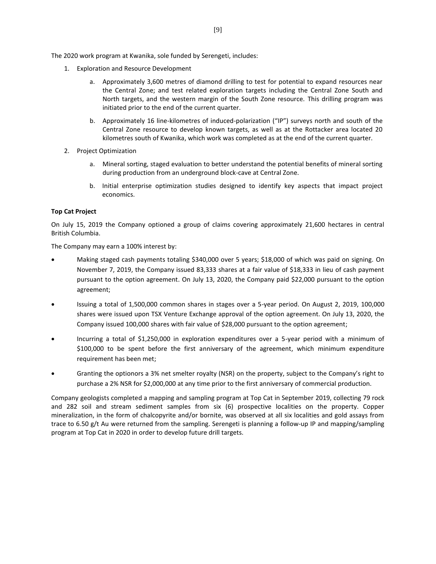The 2020 work program at Kwanika, sole funded by Serengeti, includes:

- 1. Exploration and Resource Development
	- a. Approximately 3,600 metres of diamond drilling to test for potential to expand resources near the Central Zone; and test related exploration targets including the Central Zone South and North targets, and the western margin of the South Zone resource. This drilling program was initiated prior to the end of the current quarter.
	- b. Approximately 16 line-kilometres of induced-polarization ("IP") surveys north and south of the Central Zone resource to develop known targets, as well as at the Rottacker area located 20 kilometres south of Kwanika, which work was completed as at the end of the current quarter.
- 2. Project Optimization
	- a. Mineral sorting, staged evaluation to better understand the potential benefits of mineral sorting during production from an underground block-cave at Central Zone.
	- b. Initial enterprise optimization studies designed to identify key aspects that impact project economics.

# **Top Cat Project**

On July 15, 2019 the Company optioned a group of claims covering approximately 21,600 hectares in central British Columbia.

The Company may earn a 100% interest by:

- Making staged cash payments totaling \$340,000 over 5 years; \$18,000 of which was paid on signing. On November 7, 2019, the Company issued 83,333 shares at a fair value of \$18,333 in lieu of cash payment pursuant to the option agreement. On July 13, 2020, the Company paid \$22,000 pursuant to the option agreement;
- Issuing a total of 1,500,000 common shares in stages over a 5-year period. On August 2, 2019, 100,000 shares were issued upon TSX Venture Exchange approval of the option agreement. On July 13, 2020, the Company issued 100,000 shares with fair value of \$28,000 pursuant to the option agreement;
- Incurring a total of \$1,250,000 in exploration expenditures over a 5-year period with a minimum of \$100,000 to be spent before the first anniversary of the agreement, which minimum expenditure requirement has been met;
- Granting the optionors a 3% net smelter royalty (NSR) on the property, subject to the Company's right to purchase a 2% NSR for \$2,000,000 at any time prior to the first anniversary of commercial production.

Company geologists completed a mapping and sampling program at Top Cat in September 2019, collecting 79 rock and 282 soil and stream sediment samples from six (6) prospective localities on the property. Copper mineralization, in the form of chalcopyrite and/or bornite, was observed at all six localities and gold assays from trace to 6.50 g/t Au were returned from the sampling. Serengeti is planning a follow-up IP and mapping/sampling program at Top Cat in 2020 in order to develop future drill targets.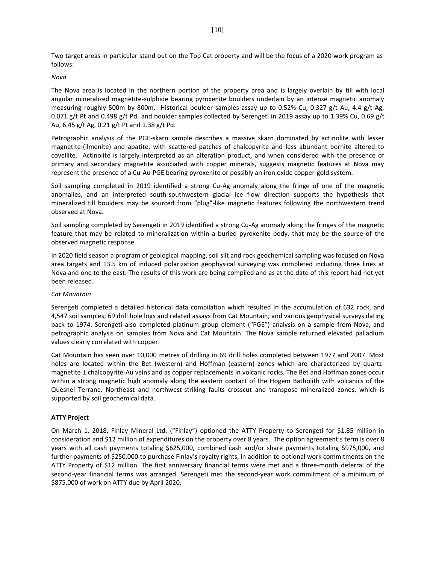Two target areas in particular stand out on the Top Cat property and will be the focus of a 2020 work program as follows:

## *Nova*

The Nova area is located in the northern portion of the property area and is largely overlain by till with local angular mineralized magnetite-sulphide bearing pyroxenite boulders underlain by an intense magnetic anomaly measuring roughly 500m by 800m. Historical boulder samples assay up to 0.52% Cu, 0.327 g/t Au, 4.4 g/t Ag, 0.071 g/t Pt and 0.498 g/t Pd and boulder samples collected by Serengeti in 2019 assay up to 1.39% Cu, 0.69 g/t Au, 6.45 g/t Ag, 0.21 g/t Pt and 1.38 g/t Pd.

Petrographic analysis of the PGE-skarn sample describes a massive skarn dominated by actinolite with lesser magnetite-(ilmenite) and apatite, with scattered patches of chalcopyrite and less abundant bornite altered to covellite. Actinolite is largely interpreted as an alteration product, and when considered with the presence of primary and secondary magnetite associated with copper minerals, suggests magnetic features at Nova may represent the presence of a Cu-Au-PGE bearing pyroxenite or possibly an iron oxide copper-gold system.

Soil sampling completed in 2019 identified a strong Cu-Ag anomaly along the fringe of one of the magnetic anomalies, and an interpreted south-southwestern glacial ice flow direction supports the hypothesis that mineralized till boulders may be sourced from "plug"-like magnetic features following the northwestern trend observed at Nova.

Soil sampling completed by Serengeti in 2019 identified a strong Cu-Ag anomaly along the fringes of the magnetic feature that may be related to mineralization within a buried pyroxenite body, that may be the source of the observed magnetic response.

In 2020 field season a program of geological mapping, soil silt and rock geochemical sampling was focused on Nova area targets and 13.5 km of induced polarization geophysical surveying was completed including three lines at Nova and one to the east. The results of this work are being compiled and as at the date of this report had not yet been released.

## *Cat Mountain*

Serengeti completed a detailed historical data compilation which resulted in the accumulation of 632 rock, and 4,547 soil samples; 69 drill hole logs and related assays from Cat Mountain; and various geophysical surveys dating back to 1974. Serengeti also completed platinum group element ("PGE") analysis on a sample from Nova, and petrographic analysis on samples from Nova and Cat Mountain. The Nova sample returned elevated palladium values clearly correlated with copper.

Cat Mountain has seen over 10,000 metres of drilling in 69 drill holes completed between 1977 and 2007. Most holes are located within the Bet (western) and Hoffman (eastern) zones which are characterized by quartzmagnetite ± chalcopyrite-Au veins and as copper replacements in volcanic rocks. The Bet and Hoffman zones occur within a strong magnetic high anomaly along the eastern contact of the Hogem Batholith with volcanics of the Quesnel Terrane. Northeast and northwest-striking faults crosscut and transpose mineralized zones, which is supported by soil geochemical data.

## **ATTY Project**

On March 1, 2018, Finlay Mineral Ltd. ("Finlay") optioned the ATTY Property to Serengeti for \$1.85 million in consideration and \$12 million of expenditures on the property over 8 years. The option agreement's term is over 8 years with all cash payments totaling \$625,000, combined cash and/or share payments totaling \$975,000, and further payments of \$250,000 to purchase Finlay's royalty rights, in addition to optional work commitments on the ATTY Property of \$12 million. The first anniversary financial terms were met and a three-month deferral of the second-year financial terms was arranged. Serengeti met the second-year work commitment of a minimum of \$875,000 of work on ATTY due by April 2020.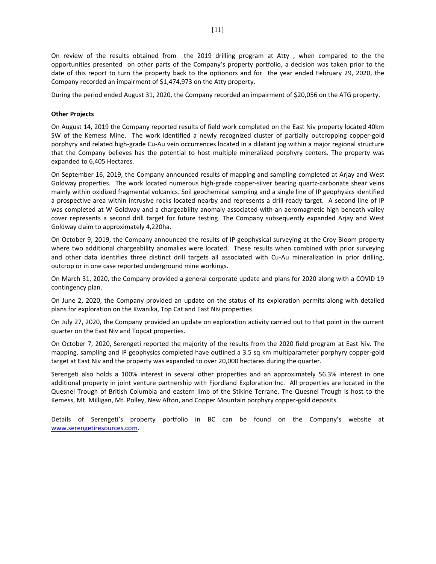On review of the results obtained from the 2019 drilling program at Atty , when compared to the the opportunities presented on other parts of the Company's property portfolio, a decision was taken prior to the date of this report to turn the property back to the optionors and for the year ended February 29, 2020, the Company recorded an impairment of \$1,474,973 on the Atty property.

During the period ended August 31, 2020, the Company recorded an impairment of \$20,056 on the ATG property.

# **Other Projects**

On August 14, 2019 the Company reported results of field work completed on the East Niv property located 40km SW of the Kemess Mine. The work identified a newly recognized cluster of partially outcropping copper-gold porphyry and related high-grade Cu-Au vein occurrences located in a dilatant jog within a major regional structure that the Company believes has the potential to host multiple mineralized porphyry centers. The property was expanded to 6,405 Hectares.

On September 16, 2019, the Company announced results of mapping and sampling completed at Arjay and West Goldway properties. The work located numerous high-grade copper-silver bearing quartz-carbonate shear veins mainly within oxidized fragmental volcanics. Soil geochemical sampling and a single line of IP geophysics identified a prospective area within intrusive rocks located nearby and represents a drill-ready target. A second line of IP was completed at W Goldway and a chargeability anomaly associated with an aeromagnetic high beneath valley cover represents a second drill target for future testing. The Company subsequently expanded Arjay and West Goldway claim to approximately 4,220ha.

On October 9, 2019, the Company announced the results of IP geophysical surveying at the Croy Bloom property where two additional chargeability anomalies were located. These results when combined with prior surveying and other data identifies three distinct drill targets all associated with Cu-Au mineralization in prior drilling, outcrop or in one case reported underground mine workings.

On March 31, 2020, the Company provided a general corporate update and plans for 2020 along with a COVID 19 contingency plan.

On June 2, 2020, the Company provided an update on the status of its exploration permits along with detailed plans for exploration on the Kwanika, Top Cat and East Niv properties.

On July 27, 2020, the Company provided an update on exploration activity carried out to that point in the current quarter on the East Niv and Topcat properties.

On October 7, 2020, Serengeti reported the majority of the results from the 2020 field program at East Niv. The mapping, sampling and IP geophysics completed have outlined a 3.5 sq km multiparameter porphyry copper-gold target at East Niv and the property was expanded to over 20,000 hectares during the quarter.

Serengeti also holds a 100% interest in several other properties and an approximately 56.3% interest in one additional property in joint venture partnership with Fjordland Exploration Inc. All properties are located in the Quesnel Trough of British Columbia and eastern limb of the Stikine Terrane. The Quesnel Trough is host to the Kemess, Mt. Milligan, Mt. Polley, New Afton, and Copper Mountain porphyry copper-gold deposits.

Details of Serengeti's property portfolio in BC can be found on the Company's website at [www.serengetiresources.com.](http://www.serengetiresources.com/)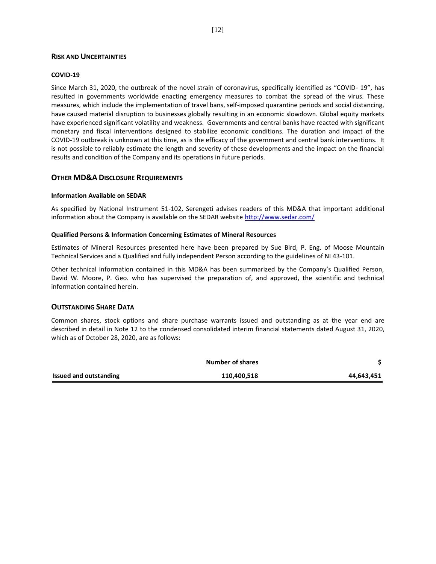# **RISK AND UNCERTAINTIES**

## **COVID-19**

Since March 31, 2020, the outbreak of the novel strain of coronavirus, specifically identified as "COVID- 19", has resulted in governments worldwide enacting emergency measures to combat the spread of the virus. These measures, which include the implementation of travel bans, self-imposed quarantine periods and social distancing, have caused material disruption to businesses globally resulting in an economic slowdown. Global equity markets have experienced significant volatility and weakness. Governments and central banks have reacted with significant monetary and fiscal interventions designed to stabilize economic conditions. The duration and impact of the COVID-19 outbreak is unknown at this time, as is the efficacy of the government and central bank interventions. It is not possible to reliably estimate the length and severity of these developments and the impact on the financial results and condition of the Company and its operations in future periods.

# **OTHER MD&A DISCLOSURE REQUIREMENTS**

## **Information Available on SEDAR**

As specified by National Instrument 51-102, Serengeti advises readers of this MD&A that important additional information about the Company is available on the SEDAR website [http://www.sedar.com/](about:blank)

## **Qualified Persons & Information Concerning Estimates of Mineral Resources**

Estimates of Mineral Resources presented here have been prepared by Sue Bird, P. Eng. of Moose Mountain Technical Services and a Qualified and fully independent Person according to the guidelines of NI 43-101.

Other technical information contained in this MD&A has been summarized by the Company's Qualified Person, David W. Moore, P. Geo. who has supervised the preparation of, and approved, the scientific and technical information contained herein.

## **OUTSTANDING SHARE DATA**

Common shares, stock options and share purchase warrants issued and outstanding as at the year end are described in detail in Note 12 to the condensed consolidated interim financial statements dated August 31, 2020, which as of October 28, 2020, are as follows:

|                               | Number of shares |            |
|-------------------------------|------------------|------------|
| <b>Issued and outstanding</b> | 110,400,518      | 44,643,451 |